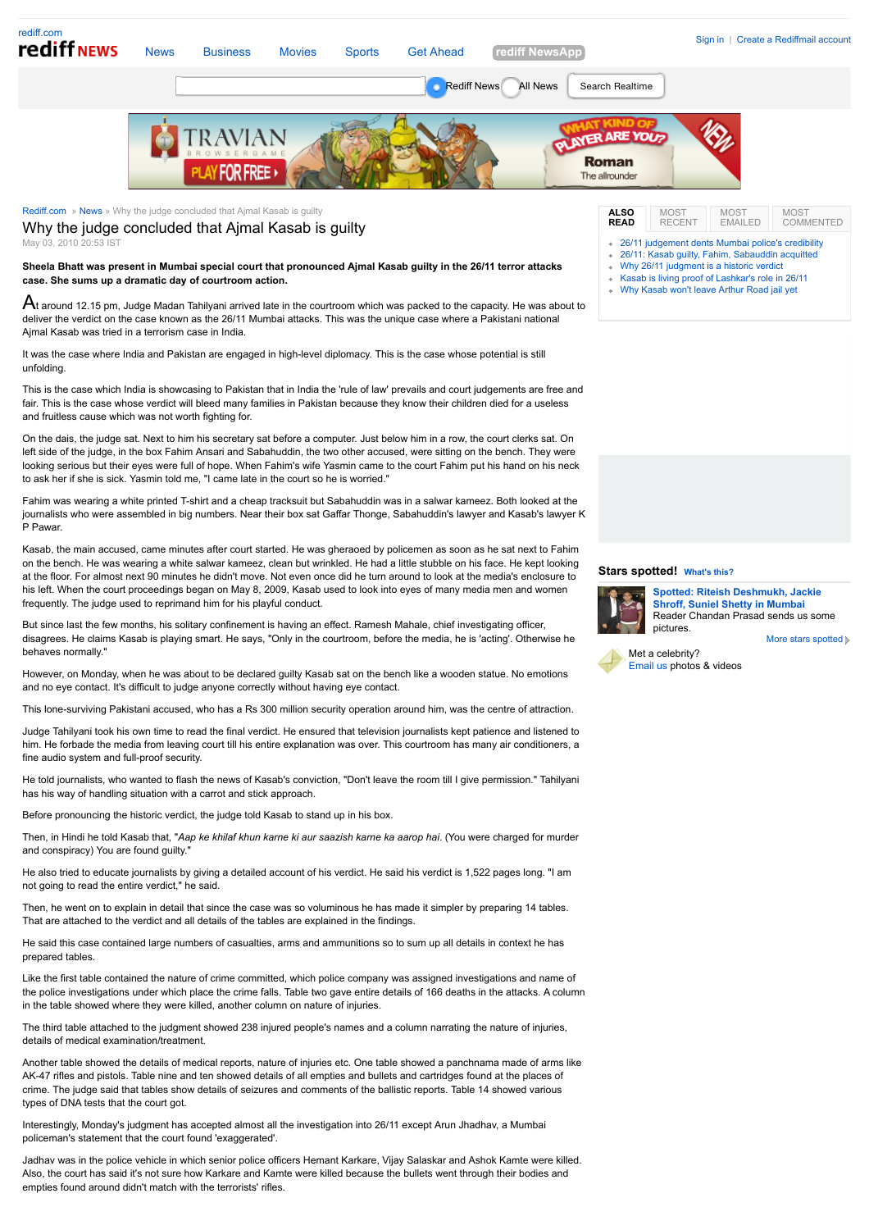

Interestingly, Monday's judgment has accepted almost all the investigation into 26/11 except Arun Jhadhav, a Mumbai policeman's statement that the court found 'exaggerated'.

Jadhav was in the police vehicle in which senior police officers Hemant Karkare, Vijay Salaskar and Ashok Kamte were killed. Also, the court has said it's not sure how Karkare and Kamte were killed because the bullets went through their bodies and empties found around didn't match with the terrorists' rifles.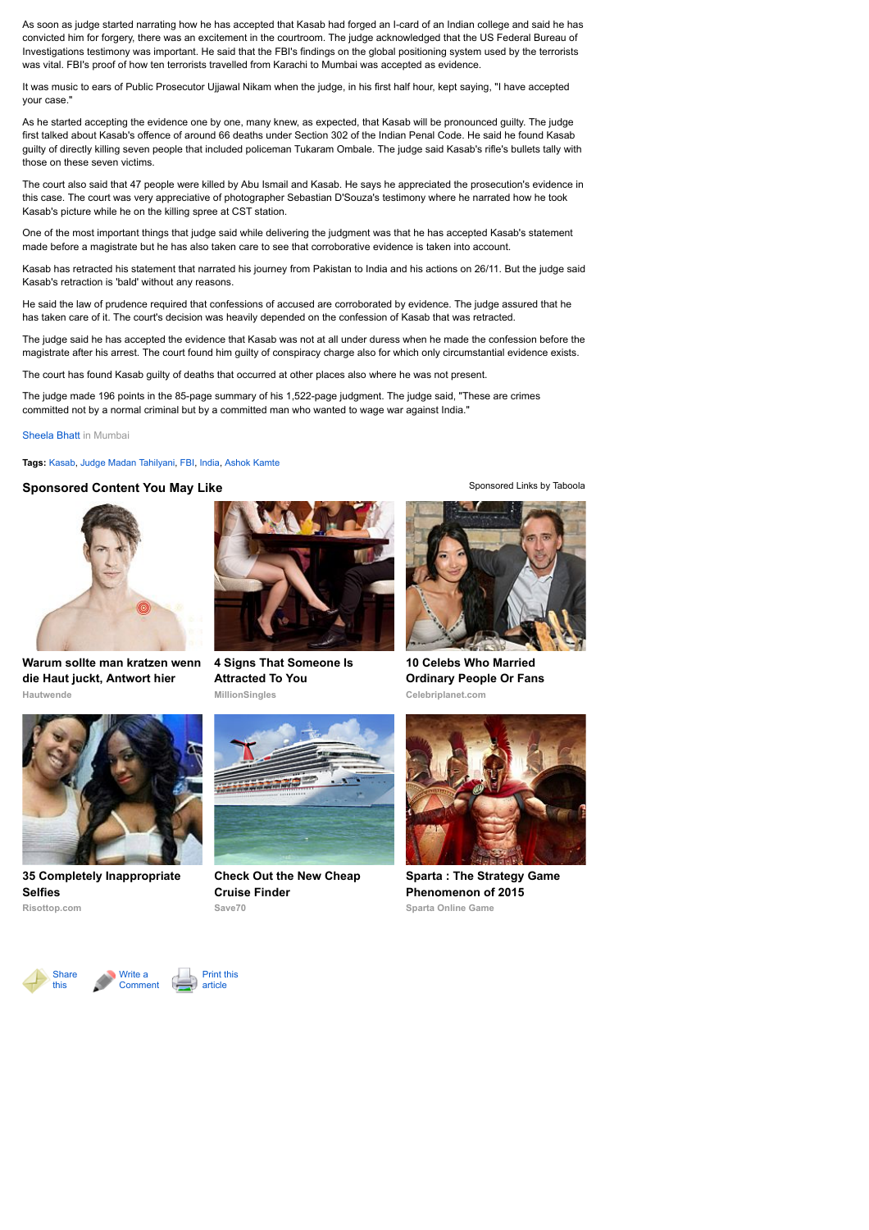As soon as judge started narrating how he has accepted that Kasab had forged an I-card of an Indian college and said he has convicted him for forgery, there was an excitement in the courtroom. The judge acknowledged that the US Federal Bureau of Investigations testimony was important. He said that the FBI's findings on the global positioning system used by the terrorists was vital. FBI's proof of how ten terrorists travelled from Karachi to Mumbai was accepted as evidence.

It was music to ears of Public Prosecutor Ujjawal Nikam when the judge, in his first half hour, kept saying, "I have accepted your case."

As he started accepting the evidence one by one, many knew, as expected, that Kasab will be pronounced guilty. The judge first talked about Kasab's offence of around 66 deaths under Section 302 of the Indian Penal Code. He said he found Kasab guilty of directly killing seven people that included policeman Tukaram Ombale. The judge said Kasab's rifle's bullets tally with those on these seven victims.

The court also said that 47 people were killed by Abu Ismail and Kasab. He says he appreciated the prosecution's evidence in this case. The court was very appreciative of photographer Sebastian D'Souza's testimony where he narrated how he took Kasab's picture while he on the killing spree at CST station.

One of the most important things that judge said while delivering the judgment was that he has accepted Kasab's statement made before a magistrate but he has also taken care to see that corroborative evidence is taken into account.

Kasab has retracted his statement that narrated his journey from Pakistan to India and his actions on 26/11. But the judge said Kasab's retraction is 'bald' without any reasons.

He said the law of prudence required that confessions of accused are corroborated by evidence. The judge assured that he has taken care of it. The court's decision was heavily depended on the confession of Kasab that was retracted.

The judge said he has accepted the evidence that Kasab was not at all under duress when he made the confession before the magistrate after his arrest. The court found him guilty of conspiracy charge also for which only circumstantial evidence exists.

The court has found Kasab guilty of deaths that occurred at other places also where he was not present.

The judge made 196 points in the 85-page summary of his 1,522-page judgment. The judge said, "These are crimes committed not by a normal criminal but by a committed man who wanted to wage war against India."

[Sheela Bhatt](http://mypage.rediff.com/profile/getprofile/Sheela%20Bhatt/8551169) in Mumbai

**Tags:** [Kasab,](http://www.rediff.com/tags/kasab) [Judge Madan Tahilyani,](http://www.rediff.com/tags/judge-madan-tahilyani) [FBI](http://www.rediff.com/tags/fbi), [India,](http://www.rediff.com/tags/india) [Ashok Kamte](http://www.rediff.com/tags/ashok-kamte)

## **Sponsored Content You May Like** [Sponsored Links](http://www.taboola.com/en/popup?template=colorbox&taboola_utm_source=rediff&taboola_utm_medium=bytaboola&taboola_utm_content=autosized-generated-text-under-1r:ROW-Bottom%20Main%20Column:) [by Taboola](http://www.taboola.com/en/popup?template=colorbox&taboola_utm_source=rediff&taboola_utm_medium=bytaboola&taboola_utm_content=autosized-generated-text-under-1r:ROW-Bottom%20Main%20Column:)



**Hautwende [Warum sollte man kratzen wenn](https://www.hautwende.de/hautkrankheiten/nesselsucht?utm_source=CpC04tab&utm_medium=content&utm_campaign=CpC04) die Haut juckt, Antwort hier**



**[35 Completely Inappropriate](http://www.risottop.com/en/cheesy/35-completely-inappropriate-selfies/?utm_source=taboola-en&utm_medium=referral&utm_term=rediff&utm_campaign=taboola-en-11) Selfies**





**[4 Signs That Someone Is](http://www.millionsingles.com/?categoryId=44918&itemId=89891&utm_source=taboola&utm_medium=referral) Attracted To You**

**MillionSingles**

**Save70 [Check Out the New Cheap](http://www.save70.com/cruise/?utm_source=taboola_save70&utm_medium=cpc&utm_campaign=save70_cruise&utm_source=taboola) Cruise Finder**



**Celebriplanet.com 10 Celebs Who Married [Ordinary People Or Fans](http://www.celebriplanet.com/gossip/10-celebs-who-married-ordinary-people-or-fans/?utm_source=taboola&utm_medium=referral)**



**Sparta Online Game [Sparta : The Strategy Game](http://plarium.com/en/strategy-games/sparta-war-of-empires/?plid=64551&pxl=taboola_fr&&publisherID=rediff) Phenomenon of 2015**